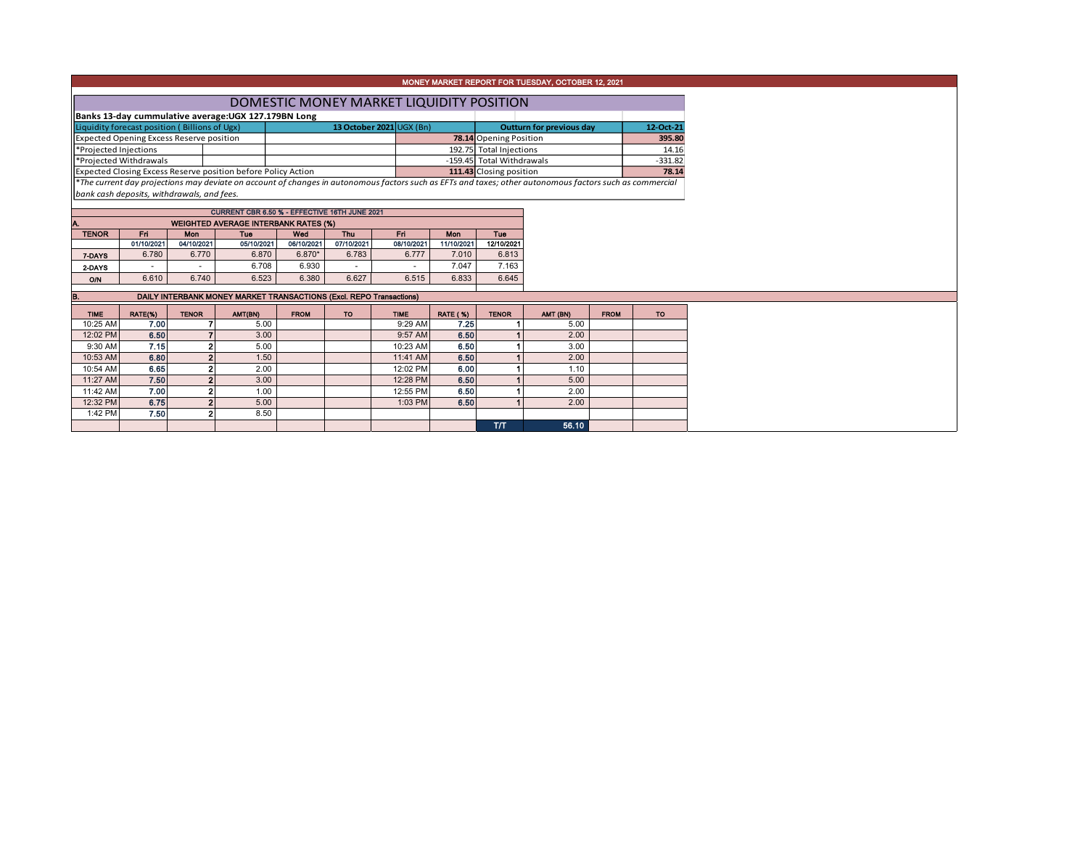## MONEY MARKET REPORT FOR TUESDAY, OCTOBER 12, 2021

| DOMESTIC MONEY MARKET LIQUIDITY POSITION                                                                                                                             |  |                          |  |                               |                                 |           |  |  |  |  |  |
|----------------------------------------------------------------------------------------------------------------------------------------------------------------------|--|--------------------------|--|-------------------------------|---------------------------------|-----------|--|--|--|--|--|
| Banks 13-day cummulative average: UGX 127.179BN Long                                                                                                                 |  |                          |  |                               |                                 |           |  |  |  |  |  |
| Liquidity forecast position (Billions of Ugx)                                                                                                                        |  | 13 October 2021 UGX (Bn) |  |                               | <b>Outturn for previous day</b> | 12-Oct-21 |  |  |  |  |  |
| Expected Opening Excess Reserve position                                                                                                                             |  |                          |  | <b>78.14</b> Opening Position |                                 | 395.80    |  |  |  |  |  |
| Projected Injections                                                                                                                                                 |  |                          |  | 192.75 Total Injections       |                                 | 14.16     |  |  |  |  |  |
| Projected Withdrawals                                                                                                                                                |  |                          |  | -159.45 Total Withdrawals     |                                 | $-331.82$ |  |  |  |  |  |
| Expected Closing Excess Reserve position before Policy Action                                                                                                        |  |                          |  | 111.43 Closing position       |                                 | 78.14     |  |  |  |  |  |
| $\parallel$ *The current day projections may deviate on account of changes in autonomous factors such as EFTs and taxes; other autonomous factors such as commercial |  |                          |  |                               |                                 |           |  |  |  |  |  |

*bank cash deposits, withdrawals, and fees.*

| CURRENT CBR 6.50 % - EFFECTIVE 16TH JUNE 2021      |                                                                           |            |            |            |            |            |            |            |  |  |  |  |  |  |
|----------------------------------------------------|---------------------------------------------------------------------------|------------|------------|------------|------------|------------|------------|------------|--|--|--|--|--|--|
| <b>WEIGHTED AVERAGE INTERBANK RATES (%)</b><br>IA. |                                                                           |            |            |            |            |            |            |            |  |  |  |  |  |  |
| <b>TENOR</b>                                       | Wed<br><b>Mon</b><br><b>Mon</b><br>Fri<br><b>Thu</b><br><b>Fri</b><br>Tue |            |            |            |            |            |            |            |  |  |  |  |  |  |
|                                                    | 01/10/2021                                                                | 04/10/2021 | 05/10/2021 | 06/10/2021 | 07/10/2021 | 08/10/2021 | 11/10/2021 | 12/10/2021 |  |  |  |  |  |  |
| 7-DAYS                                             | 6.780                                                                     | 6.770      | 6.870      | $6.870*$   | 6.783      | 6.777      | 7.010      | 6.813      |  |  |  |  |  |  |
| 2-DAYS                                             | $\overline{\phantom{a}}$                                                  | ۰          | 6.708      | 6.930      |            |            | 7.047      | 7.163      |  |  |  |  |  |  |
| O/N                                                | 6.610                                                                     | 6.740      | 6.523      | 6.380      | 6.627      | 6.515      | 6.833      | 6.645      |  |  |  |  |  |  |

B. DAILY INTERBANK MONEY MARKET TRANSACTIONS (Excl. REPO Transactions)

| <b>TIME</b> | RATE(%) | <b>TENOR</b>   | AMT(BN) | <b>FROM</b> | <b>TO</b> | <b>TIME</b> | <b>RATE (%)</b> | <b>TENOR</b> | AMT (BN) | <b>FROM</b> | <b>TO</b> |
|-------------|---------|----------------|---------|-------------|-----------|-------------|-----------------|--------------|----------|-------------|-----------|
| 10:25 AM    | 7.00    |                | 5.00    |             |           | 9:29 AM     | 7.25            |              | 5.00     |             |           |
| 12:02 PM    | 6.50    |                | 3.00    |             |           | 9:57 AM     | 6.50            |              | 2.00     |             |           |
| 9:30 AM     | 7.15    | 2              | 5.00    |             |           | 10:23 AM    | 6.50            |              | 3.00     |             |           |
| 10:53 AM    | 6.80    | $\mathbf{2}$   | 1.50    |             |           | 11:41 AM    | 6.50            |              | 2.00     |             |           |
| 10:54 AM    | 6.65    | 2              | 2.00    |             |           | 12:02 PM    | 6.00            |              | 1.10     |             |           |
| 11:27 AM    | 7.50    | 2 <sub>1</sub> | 3.00    |             |           | 12:28 PM    | 6.50            |              | 5.00     |             |           |
| 11:42 AM    | 7.00    | 2              | 1.00    |             |           | 12:55 PM    | 6.50            |              | 2.00     |             |           |
| 12:32 PM    | 6.75    | $\overline{2}$ | 5.00    |             |           | 1:03 PM     | 6.50            |              | 2.00     |             |           |
| 1:42 PM     | 7.50    | 2              | 8.50    |             |           |             |                 |              |          |             |           |
|             |         |                |         |             |           |             |                 | T/T          | 56.10    |             |           |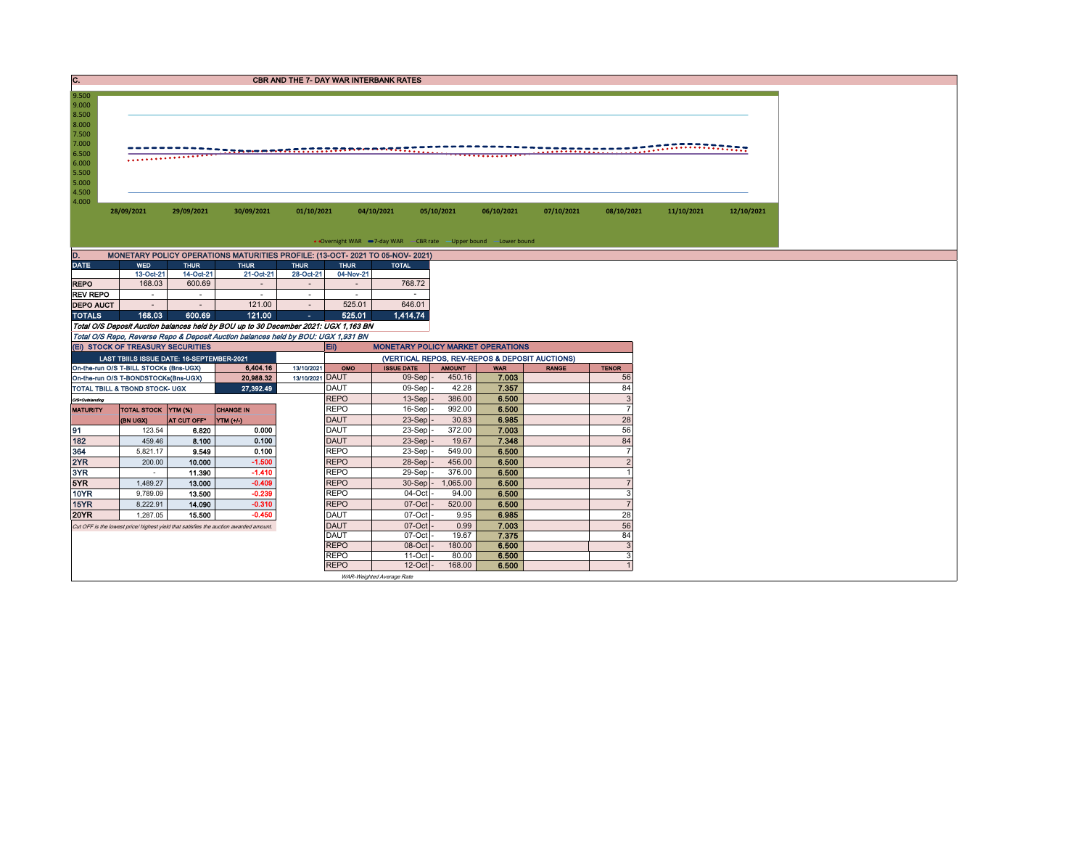| C.                                                                                                       |                                                                                |                     |                                                                                       | <b>CBR AND THE 7- DAY WAR INTERBANK RATES</b> |                            |                             |                         |                                                                   |              |                                  |            |            |
|----------------------------------------------------------------------------------------------------------|--------------------------------------------------------------------------------|---------------------|---------------------------------------------------------------------------------------|-----------------------------------------------|----------------------------|-----------------------------|-------------------------|-------------------------------------------------------------------|--------------|----------------------------------|------------|------------|
| 9.500<br>9.000<br>8.500<br>8.000<br>7.500<br>7.000<br>6.500<br>6.000<br>5.500<br>5.000<br>4.500<br>4.000 | 28/09/2021                                                                     | 29/09/2021          | 30/09/2021                                                                            | 01/10/2021                                    |                            | 04/10/2021                  | 05/10/2021              | 06/10/2021                                                        | 07/10/2021   | 08/10/2021                       | 11/10/2021 | 12/10/2021 |
|                                                                                                          |                                                                                |                     |                                                                                       |                                               |                            |                             |                         |                                                                   |              |                                  |            |            |
|                                                                                                          |                                                                                |                     |                                                                                       |                                               |                            |                             |                         | • Overnight WAR -7-day WAR - CBR rate - Upper bound - Lower bound |              |                                  |            |            |
| D.                                                                                                       |                                                                                |                     | MONETARY POLICY OPERATIONS MATURITIES PROFILE: (13-OCT- 2021 TO 05-NOV- 2021)         |                                               |                            |                             |                         |                                                                   |              |                                  |            |            |
| <b>DATE</b>                                                                                              | <b>WED</b>                                                                     | <b>THUR</b>         | <b>THUR</b>                                                                           | <b>THUR</b>                                   | <b>THUR</b>                | <b>TOTAL</b>                |                         |                                                                   |              |                                  |            |            |
| <b>REPO</b>                                                                                              | 13-Oct-21<br>168.03                                                            | 14-Oct-21<br>600.69 | 21-Oct-21<br>$\sim$                                                                   | 28-Oct-21<br>$\sim$                           | 04-Nov-21                  | 768.72                      |                         |                                                                   |              |                                  |            |            |
| <b>REV REPO</b>                                                                                          | $\sim$                                                                         | $\sim$              | $\sim$                                                                                | $\sim$                                        | $\sim$                     | $\sim$                      |                         |                                                                   |              |                                  |            |            |
| <b>DEPO AUCT</b>                                                                                         | $\sim$                                                                         | $\sim$              | 121.00                                                                                | $\sim$                                        | 525.01                     | 646.01                      |                         |                                                                   |              |                                  |            |            |
| <b>TOTALS</b>                                                                                            | 168.03                                                                         | 600.69              | 121.00                                                                                | $\sim$                                        | 525.01                     | 1,414.74                    |                         |                                                                   |              |                                  |            |            |
|                                                                                                          |                                                                                |                     | Total O/S Deposit Auction balances held by BOU up to 30 December 2021: UGX 1,163 BN   |                                               |                            |                             |                         |                                                                   |              |                                  |            |            |
|                                                                                                          |                                                                                |                     | Total O/S Repo, Reverse Repo & Deposit Auction balances held by BOU: UGX 1,931 BN     |                                               |                            |                             |                         |                                                                   |              |                                  |            |            |
|                                                                                                          | (EI) STOCK OF TREASURY SECURITIES                                              |                     |                                                                                       | <b>Eii</b>                                    |                            |                             |                         | <b>MONETARY POLICY MARKET OPERATIONS</b>                          |              |                                  |            |            |
|                                                                                                          | LAST TBIILS ISSUE DATE: 16-SEPTEMBER-2021                                      |                     |                                                                                       |                                               |                            |                             |                         | (VERTICAL REPOS, REV-REPOS & DEPOSIT AUCTIONS)                    |              |                                  |            |            |
|                                                                                                          | On-the-run O/S T-BILL STOCKs (Bns-UGX)<br>On-the-run O/S T-BONDSTOCKs(Bns-UGX) |                     | 6,404.16<br>20,988.32                                                                 | 13/10/2021<br>13/10/2021 DAUT                 | OMO                        | <b>ISSUE DATE</b><br>09-Sep | <b>AMOUNT</b><br>450.16 | <b>WAR</b><br>7.003                                               | <b>RANGE</b> | <b>TENOR</b><br>56               |            |            |
|                                                                                                          | TOTAL TBILL & TBOND STOCK- UGX                                                 |                     | 27,392.49                                                                             |                                               | <b>DAUT</b>                | 09-Sep                      | 42.28                   | 7.357                                                             |              | 84                               |            |            |
| O/S=Outstanding                                                                                          |                                                                                |                     |                                                                                       |                                               | <b>REPO</b>                | 13-Sep                      | 386.00                  | 6.500                                                             |              | $\mathbf{3}$                     |            |            |
| <b>MATURITY</b>                                                                                          | TOTAL STOCK YTM (%)                                                            |                     | <b>CHANGE IN</b>                                                                      |                                               | <b>REPO</b>                | 16-Sep                      | 992.00                  | 6.500                                                             |              | $\overline{7}$                   |            |            |
|                                                                                                          | (BN UGX)                                                                       | AT CUT OFF®         | YTM (+/-)                                                                             |                                               | <b>DAUT</b>                | 23-Sep                      | 30.83                   | 6.985                                                             |              | 28                               |            |            |
| 91                                                                                                       | 123.54                                                                         | 6.820               | 0.000                                                                                 |                                               | <b>DAUT</b>                | 23-Sep                      | 372.00                  | 7.003                                                             |              | 56                               |            |            |
| 182                                                                                                      | 459.46                                                                         | 8.100               | 0.100                                                                                 |                                               | <b>DAUT</b>                | 23-Sep                      | 19.67                   | 7.348                                                             |              | 84                               |            |            |
| 364                                                                                                      | 5,821.17                                                                       | 9.549               | 0.100                                                                                 |                                               | <b>REPO</b>                | 23-Sep                      | 549.00                  | 6.500                                                             |              | $\overline{7}$                   |            |            |
| 2YR                                                                                                      | 200.00                                                                         | 10.000              | $-1.500$<br>$-1.410$                                                                  |                                               | <b>REPO</b><br><b>REPO</b> | 28-Sep                      | 456.00                  | 6.500                                                             |              | $\overline{2}$<br>$\overline{1}$ |            |            |
| 3YR<br>5YR                                                                                               | $\sim$<br>1.489.27                                                             | 11.390<br>13.000    | $-0.409$                                                                              |                                               | <b>REPO</b>                | 29-Sep<br>30-Sep            | 376.00<br>1.065.00      | 6.500<br>6.500                                                    |              | $\overline{7}$                   |            |            |
| <b>10YR</b>                                                                                              | 9,789.09                                                                       | 13.500              | $-0.239$                                                                              |                                               | <b>REPO</b>                | 04-Oct                      | 94.00                   | 6.500                                                             |              | 3                                |            |            |
| 15YR                                                                                                     | 8.222.91                                                                       | 14.090              | $-0.310$                                                                              |                                               | <b>REPO</b>                | 07-Oct                      | 520.00                  | 6.500                                                             |              | $\overline{7}$                   |            |            |
| 20YR                                                                                                     | 1,287.05                                                                       | 15.500              | $-0.450$                                                                              |                                               | <b>DAUT</b>                | 07-Oct                      | 9.95                    | 6.985                                                             |              | 28                               |            |            |
|                                                                                                          |                                                                                |                     | Cut OFF is the lowest price/ highest yield that satisfies the auction awarded amount. |                                               | <b>DAUT</b>                | 07-Oct                      | 0.99                    | 7.003                                                             |              | 56                               |            |            |
|                                                                                                          |                                                                                |                     |                                                                                       | <b>DAUT</b>                                   |                            | $07-Cct$                    | 19.67                   | 7.375                                                             |              | 84                               |            |            |
|                                                                                                          |                                                                                |                     |                                                                                       |                                               | <b>REPO</b>                | 08-Oct                      | 180.00                  | 6.500                                                             |              | $\mathbf{3}$                     |            |            |
|                                                                                                          |                                                                                |                     |                                                                                       |                                               | <b>REPO</b>                | $11-Oct$                    | 80.00                   | 6.500                                                             |              | 3                                |            |            |
|                                                                                                          |                                                                                |                     |                                                                                       |                                               | <b>REPO</b>                | 12-Oct                      | 168.00                  | 6.500                                                             |              |                                  |            |            |

WAR-Weighted Average Rate